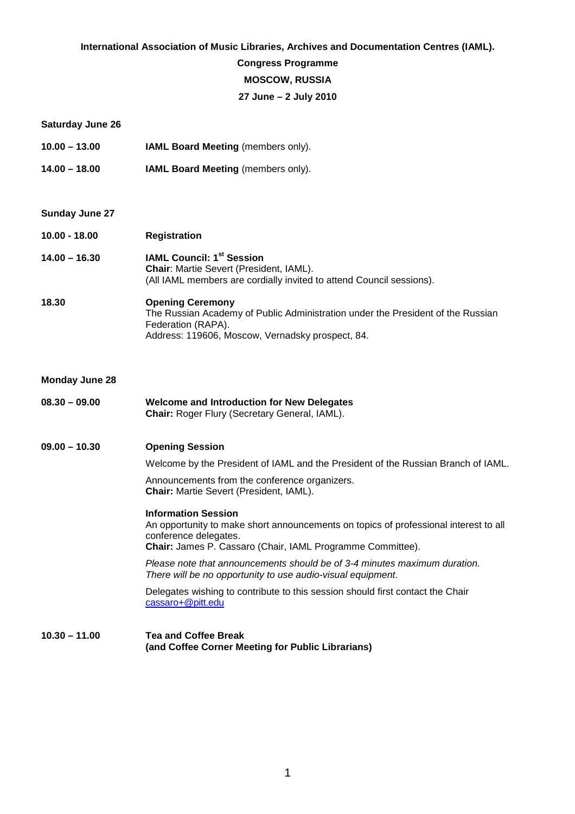#### **International Association of Music Libraries, Archives and Documentation Centres (IAML).**

### **Congress Programme**

### **MOSCOW, RUSSIA**

### **27 June – 2 July 2010**

| <b>Saturday June 26</b> |                                                                                                                                                                                                           |
|-------------------------|-----------------------------------------------------------------------------------------------------------------------------------------------------------------------------------------------------------|
| $10.00 - 13.00$         | <b>IAML Board Meeting (members only).</b>                                                                                                                                                                 |
| $14.00 - 18.00$         | IAML Board Meeting (members only).                                                                                                                                                                        |
|                         |                                                                                                                                                                                                           |
| <b>Sunday June 27</b>   |                                                                                                                                                                                                           |
| $10.00 - 18.00$         | <b>Registration</b>                                                                                                                                                                                       |
| $14.00 - 16.30$         | <b>IAML Council: 1st Session</b><br>Chair: Martie Severt (President, IAML).<br>(All IAML members are cordially invited to attend Council sessions).                                                       |
| 18.30                   | <b>Opening Ceremony</b><br>The Russian Academy of Public Administration under the President of the Russian<br>Federation (RAPA).<br>Address: 119606, Moscow, Vernadsky prospect, 84.                      |
| <b>Monday June 28</b>   |                                                                                                                                                                                                           |
| $08.30 - 09.00$         | <b>Welcome and Introduction for New Delegates</b><br>Chair: Roger Flury (Secretary General, IAML).                                                                                                        |
| $09.00 - 10.30$         | <b>Opening Session</b>                                                                                                                                                                                    |
|                         | Welcome by the President of IAML and the President of the Russian Branch of IAML.                                                                                                                         |
|                         | Announcements from the conference organizers.<br><b>Chair:</b> Martie Severt (President, IAML).                                                                                                           |
|                         | <b>Information Session</b><br>An opportunity to make short announcements on topics of professional interest to all<br>conference delegates.<br>Chair: James P. Cassaro (Chair, IAML Programme Committee). |
|                         | Please note that announcements should be of 3-4 minutes maximum duration.<br>There will be no opportunity to use audio-visual equipment.                                                                  |
|                         | Delegates wishing to contribute to this session should first contact the Chair<br>cassaro+@pitt.edu                                                                                                       |
| $10.30 - 11.00$         | <b>Tea and Coffee Break</b><br>(and Coffee Corner Meeting for Public Librarians)                                                                                                                          |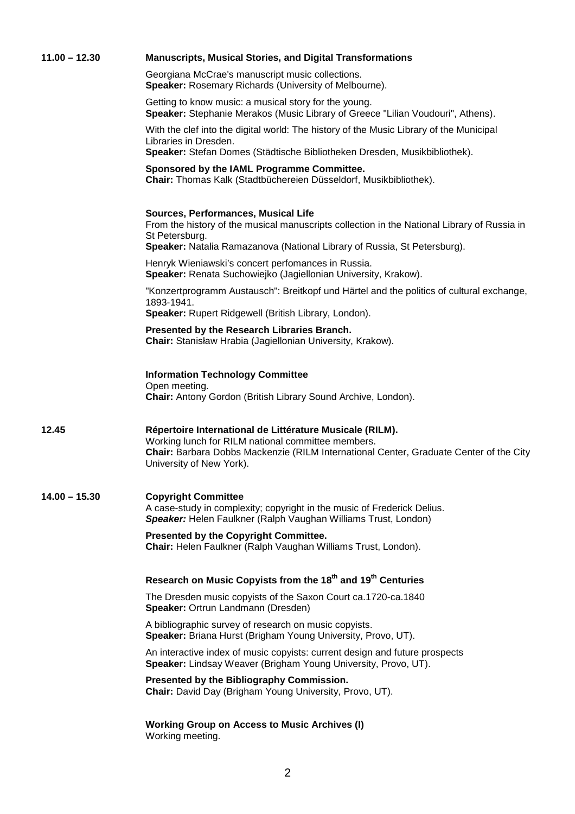| $11.00 - 12.30$ | <b>Manuscripts, Musical Stories, and Digital Transformations</b>                                                                                                                                                                     |
|-----------------|--------------------------------------------------------------------------------------------------------------------------------------------------------------------------------------------------------------------------------------|
|                 | Georgiana McCrae's manuscript music collections.<br>Speaker: Rosemary Richards (University of Melbourne).                                                                                                                            |
|                 | Getting to know music: a musical story for the young.<br>Speaker: Stephanie Merakos (Music Library of Greece "Lilian Voudouri", Athens).                                                                                             |
|                 | With the clef into the digital world: The history of the Music Library of the Municipal<br>Libraries in Dresden.<br>Speaker: Stefan Domes (Städtische Bibliotheken Dresden, Musikbibliothek).                                        |
|                 | Sponsored by the IAML Programme Committee.<br>Chair: Thomas Kalk (Stadtbüchereien Düsseldorf, Musikbibliothek).                                                                                                                      |
|                 | Sources, Performances, Musical Life<br>From the history of the musical manuscripts collection in the National Library of Russia in<br>St Petersburg.<br>Speaker: Natalia Ramazanova (National Library of Russia, St Petersburg).     |
|                 | Henryk Wieniawski's concert perfomances in Russia.<br>Speaker: Renata Suchowiejko (Jagiellonian University, Krakow).                                                                                                                 |
|                 | "Konzertprogramm Austausch": Breitkopf und Härtel and the politics of cultural exchange,<br>1893-1941.<br>Speaker: Rupert Ridgewell (British Library, London).                                                                       |
|                 | Presented by the Research Libraries Branch.<br>Chair: Stanisław Hrabia (Jagiellonian University, Krakow).                                                                                                                            |
|                 | <b>Information Technology Committee</b><br>Open meeting.<br>Chair: Antony Gordon (British Library Sound Archive, London).                                                                                                            |
| 12.45           | Répertoire International de Littérature Musicale (RILM).<br>Working lunch for RILM national committee members.<br>Chair: Barbara Dobbs Mackenzie (RILM International Center, Graduate Center of the City<br>University of New York). |
| $14.00 - 15.30$ | <b>Copyright Committee</b><br>A case-study in complexity; copyright in the music of Frederick Delius.<br>Speaker: Helen Faulkner (Ralph Vaughan Williams Trust, London)                                                              |
|                 | Presented by the Copyright Committee.<br>Chair: Helen Faulkner (Ralph Vaughan Williams Trust, London).                                                                                                                               |
|                 | Research on Music Copyists from the 18 <sup>th</sup> and 19 <sup>th</sup> Centuries                                                                                                                                                  |
|                 | The Dresden music copyists of the Saxon Court ca.1720-ca.1840<br>Speaker: Ortrun Landmann (Dresden)                                                                                                                                  |
|                 | A bibliographic survey of research on music copyists.<br>Speaker: Briana Hurst (Brigham Young University, Provo, UT).                                                                                                                |
|                 | An interactive index of music copyists: current design and future prospects<br>Speaker: Lindsay Weaver (Brigham Young University, Provo, UT).                                                                                        |
|                 | Presented by the Bibliography Commission.<br>Chair: David Day (Brigham Young University, Provo, UT).                                                                                                                                 |
|                 | <b>Working Group on Access to Music Archives (I)</b><br>Working meeting.                                                                                                                                                             |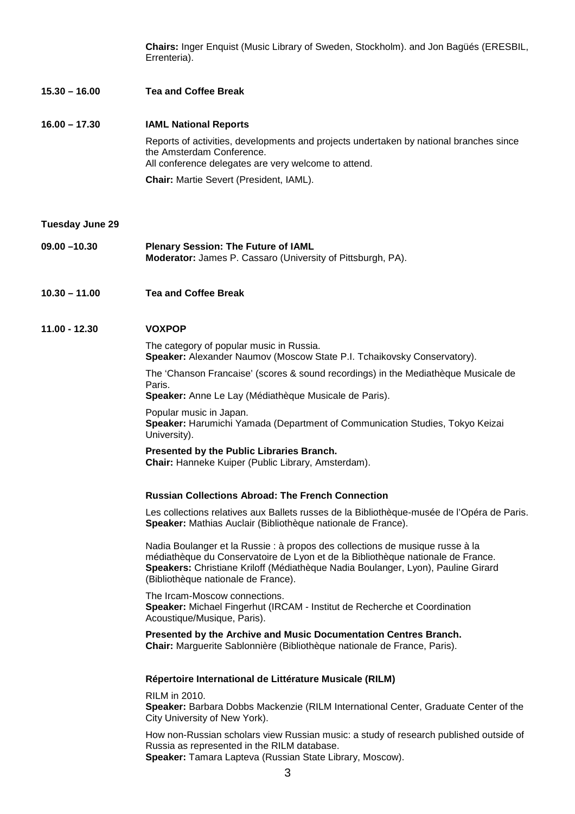**Chairs:** Inger Enquist (Music Library of Sweden, Stockholm). and Jon Bagüés (ERESBIL, Errenteria).

**15.30 – 16.00 Tea and Coffee Break** 

**16.00 – 17.30 IAML National Reports**  Reports of activities, developments and projects undertaken by national branches since the Amsterdam Conference. All conference delegates are very welcome to attend. **Chair:** Martie Severt (President, IAML).

**Tuesday June 29** 

- **09.00 –10.30 Plenary Session: The Future of IAML Moderator:** James P. Cassaro (University of Pittsburgh, PA).
- **10.30 11.00 Tea and Coffee Break**

#### **11.00 - 12.30 VOXPOP**

The category of popular music in Russia. **Speaker:** Alexander Naumov (Moscow State P.I. Tchaikovsky Conservatory).

The 'Chanson Francaise' (scores & sound recordings) in the Mediathèque Musicale de Paris.

**Speaker:** Anne Le Lay (Médiathèque Musicale de Paris).

Popular music in Japan. **Speaker:** Harumichi Yamada (Department of Communication Studies, Tokyo Keizai University).

**Presented by the Public Libraries Branch. Chair:** Hanneke Kuiper (Public Library, Amsterdam).

#### **Russian Collections Abroad: The French Connection**

Les collections relatives aux Ballets russes de la Bibliothèque-musée de l'Opéra de Paris. **Speaker:** Mathias Auclair (Bibliothèque nationale de France).

Nadia Boulanger et la Russie : à propos des collections de musique russe à la médiathèque du Conservatoire de Lyon et de la Bibliothèque nationale de France. **Speakers:** Christiane Kriloff (Médiathèque Nadia Boulanger, Lyon), Pauline Girard (Bibliothèque nationale de France).

The Ircam-Moscow connections. **Speaker:** Michael Fingerhut (IRCAM - Institut de Recherche et Coordination Acoustique/Musique, Paris).

**Presented by the Archive and Music Documentation Centres Branch. Chair:** Marguerite Sablonnière (Bibliothèque nationale de France, Paris).

#### **Répertoire International de Littérature Musicale (RILM)**

RILM in 2010.

**Speaker:** Barbara Dobbs Mackenzie (RILM International Center, Graduate Center of the City University of New York).

How non-Russian scholars view Russian music: a study of research published outside of Russia as represented in the RILM database.

**Speaker:** Tamara Lapteva (Russian State Library, Moscow).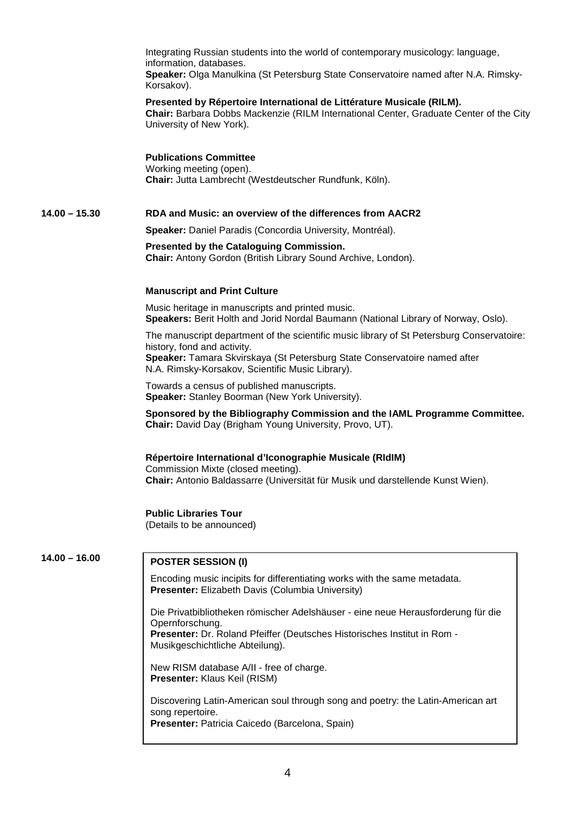Integrating Russian students into the world of contemporary musicology: language, information, databases. **Speaker:** Olga Manulkina (St Petersburg State Conservatoire named after N.A. Rimsky-Korsakov).

#### **Presented by Répertoire International de Littérature Musicale (RILM).**

**Chair:** Barbara Dobbs Mackenzie (RILM International Center, Graduate Center of the City University of New York).

#### **Publications Committee**

Working meeting (open). **Chair:** Jutta Lambrecht (Westdeutscher Rundfunk, Köln).

### **14.00 – 15.30 RDA and Music: an overview of the differences from AACR2**

**Speaker:** Daniel Paradis (Concordia University, Montréal).

#### **Presented by the Cataloguing Commission. Chair:** Antony Gordon (British Library Sound Archive, London).

#### **Manuscript and Print Culture**

Music heritage in manuscripts and printed music. **Speakers:** Berit Holth and Jorid Nordal Baumann (National Library of Norway, Oslo).

The manuscript department of the scientific music library of St Petersburg Conservatoire: history, fond and activity.

**Speaker:** Tamara Skvirskaya (St Petersburg State Conservatoire named after N.A. Rimsky-Korsakov, Scientific Music Library).

Towards a census of published manuscripts. **Speaker:** Stanley Boorman (New York University).

#### **Sponsored by the Bibliography Commission and the IAML Programme Committee. Chair:** David Day (Brigham Young University, Provo, UT).

#### **Répertoire International d'Iconographie Musicale (RIdIM)**

Commission Mixte (closed meeting). **Chair:** Antonio Baldassarre (Universität für Musik und darstellende Kunst Wien).

#### **Public Libraries Tour**

(Details to be announced)

## **14.00 – 16.00 POSTER SESSION (I)**

Encoding music incipits for differentiating works with the same metadata. **Presenter:** Elizabeth Davis (Columbia University)

Die Privatbibliotheken römischer Adelshäuser - eine neue Herausforderung für die Opernforschung. **Presenter:** Dr. Roland Pfeiffer (Deutsches Historisches Institut in Rom - Musikgeschichtliche Abteilung).

New RISM database A/II - free of charge. **Presenter:** Klaus Keil (RISM)

Discovering Latin-American soul through song and poetry: the Latin-American art song repertoire. **Presenter:** Patricia Caicedo (Barcelona, Spain)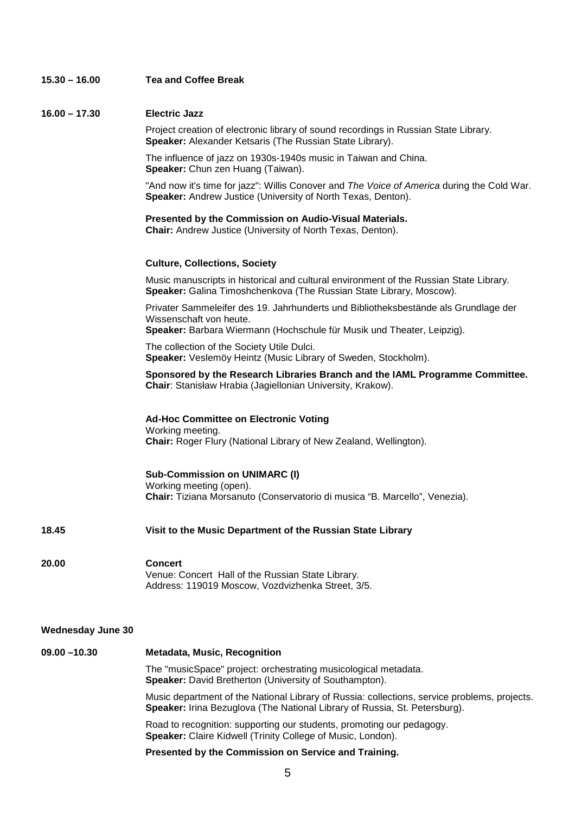| $15.30 - 16.00$          | <b>Tea and Coffee Break</b>                                                                                                                                                              |
|--------------------------|------------------------------------------------------------------------------------------------------------------------------------------------------------------------------------------|
| $16.00 - 17.30$          | <b>Electric Jazz</b>                                                                                                                                                                     |
|                          | Project creation of electronic library of sound recordings in Russian State Library.<br>Speaker: Alexander Ketsaris (The Russian State Library).                                         |
|                          | The influence of jazz on 1930s-1940s music in Taiwan and China.<br>Speaker: Chun zen Huang (Taiwan).                                                                                     |
|                          | "And now it's time for jazz": Willis Conover and The Voice of America during the Cold War.<br>Speaker: Andrew Justice (University of North Texas, Denton).                               |
|                          | Presented by the Commission on Audio-Visual Materials.<br>Chair: Andrew Justice (University of North Texas, Denton).                                                                     |
|                          | <b>Culture, Collections, Society</b>                                                                                                                                                     |
|                          | Music manuscripts in historical and cultural environment of the Russian State Library.<br>Speaker: Galina Timoshchenkova (The Russian State Library, Moscow).                            |
|                          | Privater Sammeleifer des 19. Jahrhunderts und Bibliotheksbestände als Grundlage der<br>Wissenschaft von heute.<br>Speaker: Barbara Wiermann (Hochschule für Musik und Theater, Leipzig). |
|                          | The collection of the Society Utile Dulci.<br>Speaker: Veslemöy Heintz (Music Library of Sweden, Stockholm).                                                                             |
|                          | Sponsored by the Research Libraries Branch and the IAML Programme Committee.<br>Chair: Stanisław Hrabia (Jagiellonian University, Krakow).                                               |
|                          | <b>Ad-Hoc Committee on Electronic Voting</b><br>Working meeting.<br>Chair: Roger Flury (National Library of New Zealand, Wellington).                                                    |
|                          | <b>Sub-Commission on UNIMARC (I)</b><br>Working meeting (open).<br>Chair: Tiziana Morsanuto (Conservatorio di musica "B. Marcello", Venezia).                                            |
| 18.45                    | Visit to the Music Department of the Russian State Library                                                                                                                               |
| 20.00                    | <b>Concert</b><br>Venue: Concert Hall of the Russian State Library.<br>Address: 119019 Moscow, Vozdvizhenka Street, 3/5.                                                                 |
| <b>Wednesday June 30</b> |                                                                                                                                                                                          |
| $09.00 - 10.30$          | <b>Metadata, Music, Recognition</b>                                                                                                                                                      |
|                          | The "musicSpace" project: orchestrating musicological metadata.<br>Speaker: David Bretherton (University of Southampton).                                                                |
|                          | Music department of the National Library of Russia: collections, service problems, projects.<br>Speaker: Irina Bezuglova (The National Library of Russia, St. Petersburg).               |
|                          | Road to recognition: supporting our students, promoting our pedagogy.<br>Speaker: Claire Kidwell (Trinity College of Music, London).                                                     |
|                          | Presented by the Commission on Service and Training.                                                                                                                                     |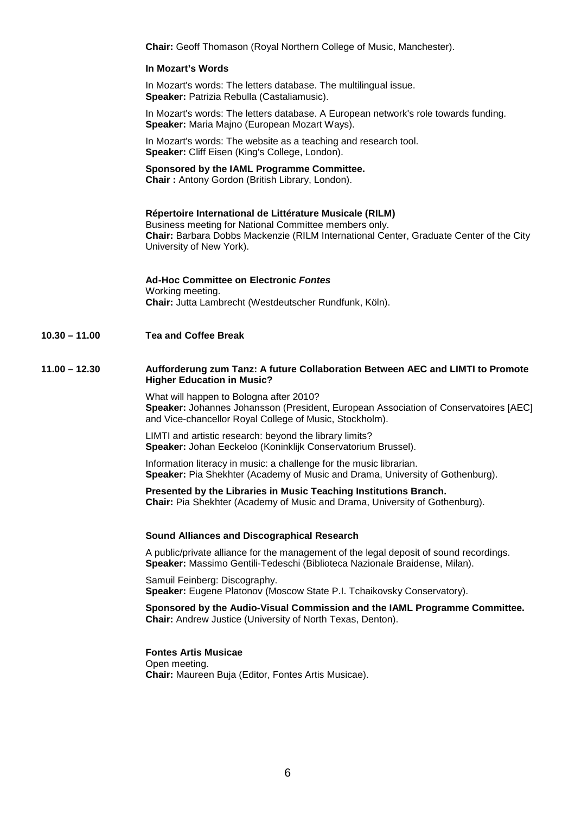**Chair:** Geoff Thomason (Royal Northern College of Music, Manchester).

#### **In Mozart's Words**

In Mozart's words: The letters database. The multilingual issue. **Speaker:** Patrizia Rebulla (Castaliamusic).

In Mozart's words: The letters database. A European network's role towards funding. **Speaker:** Maria Majno (European Mozart Ways).

In Mozart's words: The website as a teaching and research tool. **Speaker:** Cliff Eisen (King's College, London).

### **Sponsored by the IAML Programme Committee.**

**Chair :** Antony Gordon (British Library, London).

#### **Répertoire International de Littérature Musicale (RILM)**

Business meeting for National Committee members only. **Chair:** Barbara Dobbs Mackenzie (RILM International Center, Graduate Center of the City University of New York).

### **Ad-Hoc Committee on Electronic Fontes**

Working meeting. **Chair:** Jutta Lambrecht (Westdeutscher Rundfunk, Köln).

**10.30 – 11.00 Tea and Coffee Break** 

#### **11.00 – 12.30 Aufforderung zum Tanz: A future Collaboration Between AEC and LIMTI to Promote Higher Education in Music?**

What will happen to Bologna after 2010? **Speaker:** Johannes Johansson (President, European Association of Conservatoires [AEC] and Vice-chancellor Royal College of Music, Stockholm).

LIMTI and artistic research: beyond the library limits? **Speaker:** Johan Eeckeloo (Koninklijk Conservatorium Brussel).

Information literacy in music: a challenge for the music librarian. **Speaker:** Pia Shekhter (Academy of Music and Drama, University of Gothenburg).

**Presented by the Libraries in Music Teaching Institutions Branch. Chair:** Pia Shekhter (Academy of Music and Drama, University of Gothenburg).

#### **Sound Alliances and Discographical Research**

A public/private alliance for the management of the legal deposit of sound recordings. **Speaker:** Massimo Gentili-Tedeschi (Biblioteca Nazionale Braidense, Milan).

Samuil Feinberg: Discography. **Speaker:** Eugene Platonov (Moscow State P.I. Tchaikovsky Conservatory).

**Sponsored by the Audio-Visual Commission and the IAML Programme Committee. Chair:** Andrew Justice (University of North Texas, Denton).

#### **Fontes Artis Musicae**

Open meeting. **Chair:** Maureen Buja (Editor, Fontes Artis Musicae).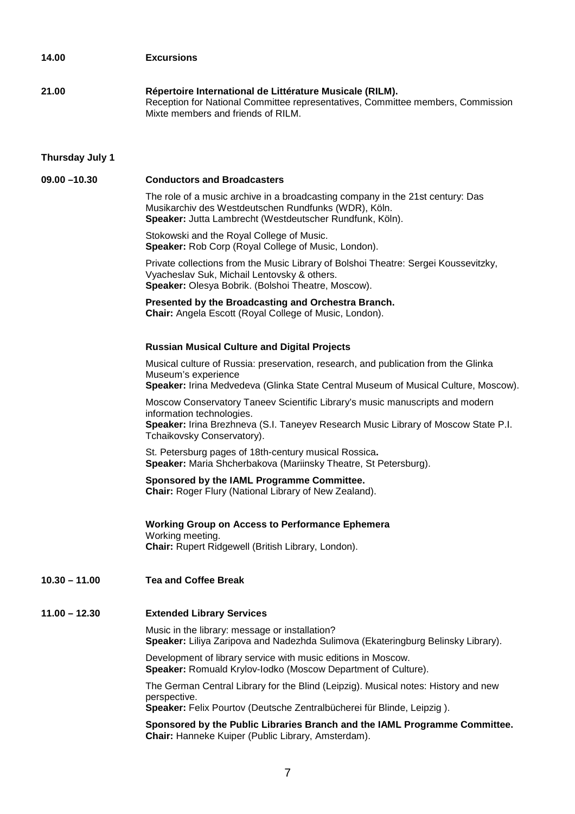# **14.00 Excursions 21.00 Répertoire International de Littérature Musicale (RILM).**  Reception for National Committee representatives, Committee members, Commission Mixte members and friends of RILM.

#### **Thursday July 1**

#### **09.00 –10.30 Conductors and Broadcasters**

The role of a music archive in a broadcasting company in the 21st century: Das Musikarchiv des Westdeutschen Rundfunks (WDR), Köln. **Speaker:** Jutta Lambrecht (Westdeutscher Rundfunk, Köln).

Stokowski and the Royal College of Music. **Speaker:** Rob Corp (Royal College of Music, London).

Private collections from the Music Library of Bolshoi Theatre: Sergei Koussevitzky, Vyacheslav Suk, Michail Lentovsky & others. **Speaker:** Olesya Bobrik. (Bolshoi Theatre, Moscow).

### **Presented by the Broadcasting and Orchestra Branch.**

**Chair:** Angela Escott (Royal College of Music, London).

#### **Russian Musical Culture and Digital Projects**

Musical culture of Russia: preservation, research, and publication from the Glinka Museum's experience

**Speaker:** Irina Medvedeva (Glinka State Central Museum of Musical Culture, Moscow).

Moscow Conservatory Taneev Scientific Library's music manuscripts and modern information technologies. **Speaker:** Irina Brezhneva (S.I. Taneyev Research Music Library of Moscow State P.I.

Tchaikovsky Conservatory).

St. Petersburg pages of 18th-century musical Rossica**. Speaker:** Maria Shcherbakova (Mariinsky Theatre, St Petersburg).

### **Sponsored by the IAML Programme Committee.**

 **Chair:** Roger Flury (National Library of New Zealand).

**Working Group on Access to Performance Ephemera**  Working meeting. **Chair:** Rupert Ridgewell (British Library, London).

**10.30 – 11.00 Tea and Coffee Break** 

### **11.00 – 12.30 Extended Library Services**

Music in the library: message or installation? **Speaker:** Liliya Zaripova and Nadezhda Sulimova (Ekateringburg Belinsky Library).

Development of library service with music editions in Moscow. **Speaker:** Romuald Krylov-Iodko (Moscow Department of Culture).

The German Central Library for the Blind (Leipzig). Musical notes: History and new perspective.

**Speaker:** Felix Pourtov (Deutsche Zentralbücherei für Blinde, Leipzig ).

**Sponsored by the Public Libraries Branch and the IAML Programme Committee. Chair:** Hanneke Kuiper (Public Library, Amsterdam).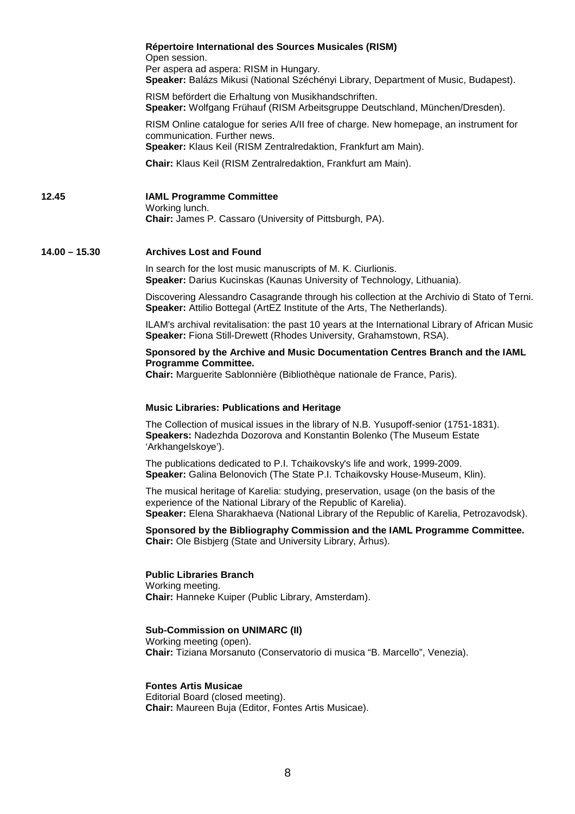|                 | Répertoire International des Sources Musicales (RISM)<br>Open session.<br>Per aspera ad aspera: RISM in Hungary.<br>Speaker: Balázs Mikusi (National Széchényi Library, Department of Music, Budapest).                                           |
|-----------------|---------------------------------------------------------------------------------------------------------------------------------------------------------------------------------------------------------------------------------------------------|
|                 | RISM befördert die Erhaltung von Musikhandschriften.<br>Speaker: Wolfgang Frühauf (RISM Arbeitsgruppe Deutschland, München/Dresden).                                                                                                              |
|                 | RISM Online catalogue for series A/II free of charge. New homepage, an instrument for<br>communication. Further news.<br>Speaker: Klaus Keil (RISM Zentralredaktion, Frankfurt am Main).                                                          |
|                 | Chair: Klaus Keil (RISM Zentralredaktion, Frankfurt am Main).                                                                                                                                                                                     |
| 12.45           | <b>IAML Programme Committee</b><br>Working lunch.<br>Chair: James P. Cassaro (University of Pittsburgh, PA).                                                                                                                                      |
| $14.00 - 15.30$ | <b>Archives Lost and Found</b>                                                                                                                                                                                                                    |
|                 | In search for the lost music manuscripts of M. K. Ciurlionis.<br>Speaker: Darius Kucinskas (Kaunas University of Technology, Lithuania).                                                                                                          |
|                 | Discovering Alessandro Casagrande through his collection at the Archivio di Stato of Terni.<br>Speaker: Attilio Bottegal (ArtEZ Institute of the Arts, The Netherlands).                                                                          |
|                 | ILAM's archival revitalisation: the past 10 years at the International Library of African Music<br>Speaker: Fiona Still-Drewett (Rhodes University, Grahamstown, RSA).                                                                            |
|                 | Sponsored by the Archive and Music Documentation Centres Branch and the IAML<br><b>Programme Committee.</b><br>Chair: Marguerite Sablonnière (Bibliothèque nationale de France, Paris).                                                           |
|                 | <b>Music Libraries: Publications and Heritage</b>                                                                                                                                                                                                 |
|                 | The Collection of musical issues in the library of N.B. Yusupoff-senior (1751-1831).<br>Speakers: Nadezhda Dozorova and Konstantin Bolenko (The Museum Estate<br>'Arkhangelskoye').                                                               |
|                 | The publications dedicated to P.I. Tchaikovsky's life and work, 1999-2009.<br>Speaker: Galina Belonovich (The State P.I. Tchaikovsky House-Museum, Klin).                                                                                         |
|                 | The musical heritage of Karelia: studying, preservation, usage (on the basis of the<br>experience of the National Library of the Republic of Karelia).<br>Speaker: Elena Sharakhaeva (National Library of the Republic of Karelia, Petrozavodsk). |
|                 | Sponsored by the Bibliography Commission and the IAML Programme Committee.<br><b>Chair:</b> Ole Bisbjerg (State and University Library, Arhus).                                                                                                   |
|                 | <b>Public Libraries Branch</b><br>Working meeting.<br>Chair: Hanneke Kuiper (Public Library, Amsterdam).                                                                                                                                          |
|                 | <b>Sub-Commission on UNIMARC (II)</b><br>Working meeting (open).<br>Chair: Tiziana Morsanuto (Conservatorio di musica "B. Marcello", Venezia).                                                                                                    |
|                 | <b>Fontes Artis Musicae</b><br>Editorial Board (closed meeting).<br>Chair: Maureen Buja (Editor, Fontes Artis Musicae).                                                                                                                           |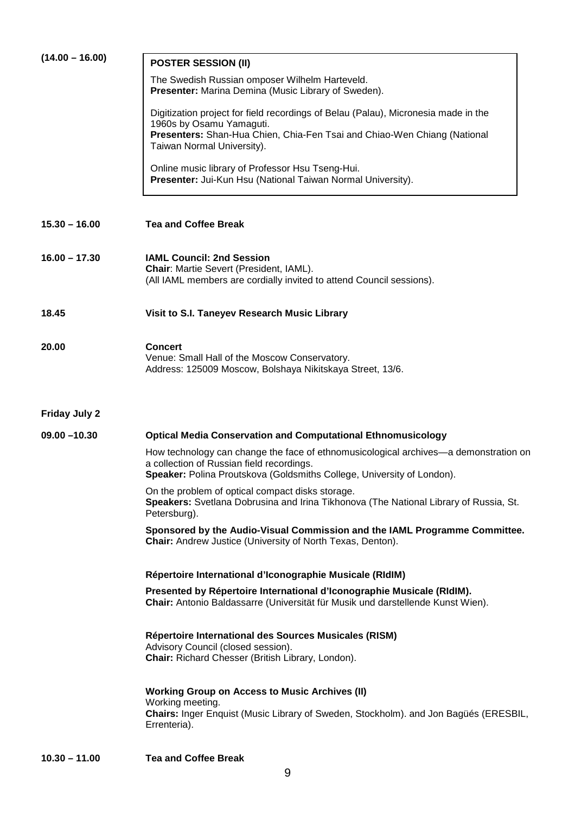| $(14.00 - 16.00)$    | <b>POSTER SESSION (II)</b>                                                                                                                                                                                  |
|----------------------|-------------------------------------------------------------------------------------------------------------------------------------------------------------------------------------------------------------|
|                      | The Swedish Russian omposer Wilhelm Harteveld.                                                                                                                                                              |
|                      | Presenter: Marina Demina (Music Library of Sweden).                                                                                                                                                         |
|                      | Digitization project for field recordings of Belau (Palau), Micronesia made in the<br>1960s by Osamu Yamaguti.                                                                                              |
|                      | Presenters: Shan-Hua Chien, Chia-Fen Tsai and Chiao-Wen Chiang (National<br>Taiwan Normal University).                                                                                                      |
|                      | Online music library of Professor Hsu Tseng-Hui.<br>Presenter: Jui-Kun Hsu (National Taiwan Normal University).                                                                                             |
| $15.30 - 16.00$      | <b>Tea and Coffee Break</b>                                                                                                                                                                                 |
| $16.00 - 17.30$      | <b>IAML Council: 2nd Session</b>                                                                                                                                                                            |
|                      | Chair: Martie Severt (President, IAML).                                                                                                                                                                     |
|                      | (All IAML members are cordially invited to attend Council sessions).                                                                                                                                        |
| 18.45                | Visit to S.I. Taneyev Research Music Library                                                                                                                                                                |
|                      |                                                                                                                                                                                                             |
| 20.00                | <b>Concert</b><br>Venue: Small Hall of the Moscow Conservatory.<br>Address: 125009 Moscow, Bolshaya Nikitskaya Street, 13/6.                                                                                |
| <b>Friday July 2</b> |                                                                                                                                                                                                             |
| $09.00 - 10.30$      | <b>Optical Media Conservation and Computational Ethnomusicology</b>                                                                                                                                         |
|                      | How technology can change the face of ethnomusicological archives—a demonstration on<br>a collection of Russian field recordings.<br>Speaker: Polina Proutskova (Goldsmiths College, University of London). |
|                      | On the problem of optical compact disks storage.<br>Speakers: Svetlana Dobrusina and Irina Tikhonova (The National Library of Russia, St.<br>Petersburg).                                                   |
|                      | Sponsored by the Audio-Visual Commission and the IAML Programme Committee.<br>Chair: Andrew Justice (University of North Texas, Denton).                                                                    |
|                      | Répertoire International d'Iconographie Musicale (RIdIM)                                                                                                                                                    |
|                      | Presented by Répertoire International d'Iconographie Musicale (RIdIM).<br>Chair: Antonio Baldassarre (Universität für Musik und darstellende Kunst Wien).                                                   |
|                      | Répertoire International des Sources Musicales (RISM)<br>Advisory Council (closed session).<br>Chair: Richard Chesser (British Library, London).                                                            |
|                      | <b>Working Group on Access to Music Archives (II)</b><br>Working meeting.<br>Chairs: Inger Enquist (Music Library of Sweden, Stockholm). and Jon Bagüés (ERESBIL,<br>Errenteria).                           |